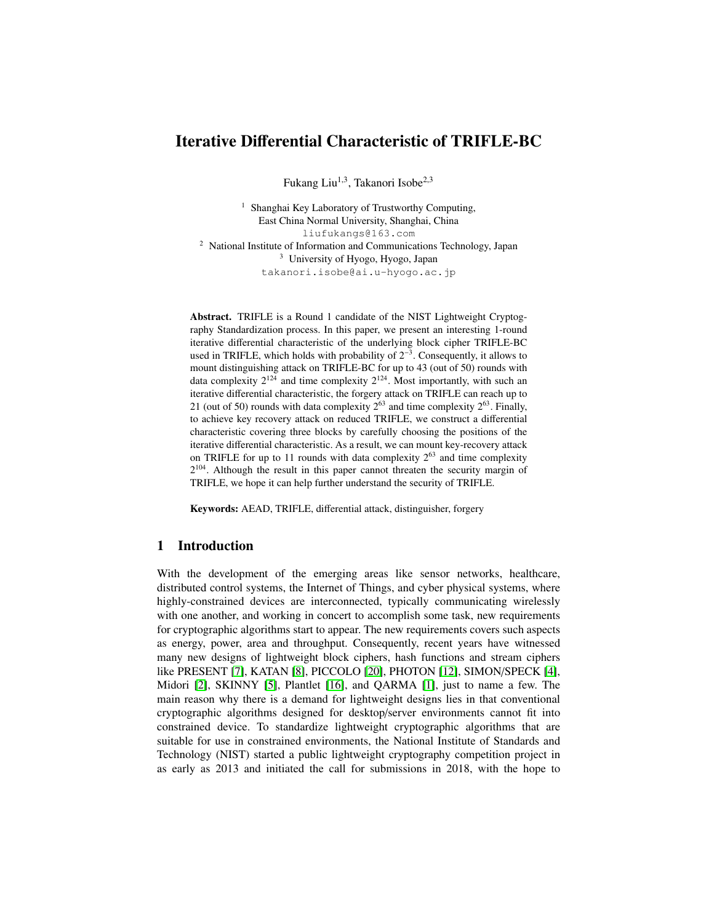# Iterative Differential Characteristic of TRIFLE-BC

Fukang Liu<sup>1,3</sup>, Takanori Isobe<sup>2,3</sup>

<sup>1</sup> Shanghai Key Laboratory of Trustworthy Computing, East China Normal University, Shanghai, China liufukangs@163.com <sup>2</sup> National Institute of Information and Communications Technology, Japan <sup>3</sup> University of Hyogo, Hyogo, Japan takanori.isobe@ai.u-hyogo.ac.jp

Abstract. TRIFLE is a Round 1 candidate of the NIST Lightweight Cryptography Standardization process. In this paper, we present an interesting 1-round iterative differential characteristic of the underlying block cipher TRIFLE-BC used in TRIFLE, which holds with probability of  $2^{-3}$ . Consequently, it allows to mount distinguishing attack on TRIFLE-BC for up to 43 (out of 50) rounds with data complexity  $2^{124}$  and time complexity  $2^{124}$ . Most importantly, with such an iterative differential characteristic, the forgery attack on TRIFLE can reach up to 21 (out of 50) rounds with data complexity  $2^{63}$  and time complexity  $2^{63}$ . Finally, to achieve key recovery attack on reduced TRIFLE, we construct a differential characteristic covering three blocks by carefully choosing the positions of the iterative differential characteristic. As a result, we can mount key-recovery attack on TRIFLE for up to 11 rounds with data complexity  $2^{63}$  and time complexity  $2^{104}$ . Although the result in this paper cannot threaten the security margin of TRIFLE, we hope it can help further understand the security of TRIFLE.

Keywords: AEAD, TRIFLE, differential attack, distinguisher, forgery

# 1 Introduction

With the development of the emerging areas like sensor networks, healthcare, distributed control systems, the Internet of Things, and cyber physical systems, where highly-constrained devices are interconnected, typically communicating wirelessly with one another, and working in concert to accomplish some task, new requirements for cryptographic algorithms start to appear. The new requirements covers such aspects as energy, power, area and throughput. Consequently, recent years have witnessed many new designs of lightweight block ciphers, hash functions and stream ciphers like PRESENT [\[7\]](#page-13-0), KATAN [\[8\]](#page-14-0), PICCOLO [\[20\]](#page-14-1), PHOTON [\[12\]](#page-14-2), SIMON/SPECK [\[4\]](#page-13-1), Midori [\[2\]](#page-13-2), SKINNY [\[5\]](#page-13-3), Plantlet [\[16\]](#page-14-3), and QARMA [\[1\]](#page-13-4), just to name a few. The main reason why there is a demand for lightweight designs lies in that conventional cryptographic algorithms designed for desktop/server environments cannot fit into constrained device. To standardize lightweight cryptographic algorithms that are suitable for use in constrained environments, the National Institute of Standards and Technology (NIST) started a public lightweight cryptography competition project in as early as 2013 and initiated the call for submissions in 2018, with the hope to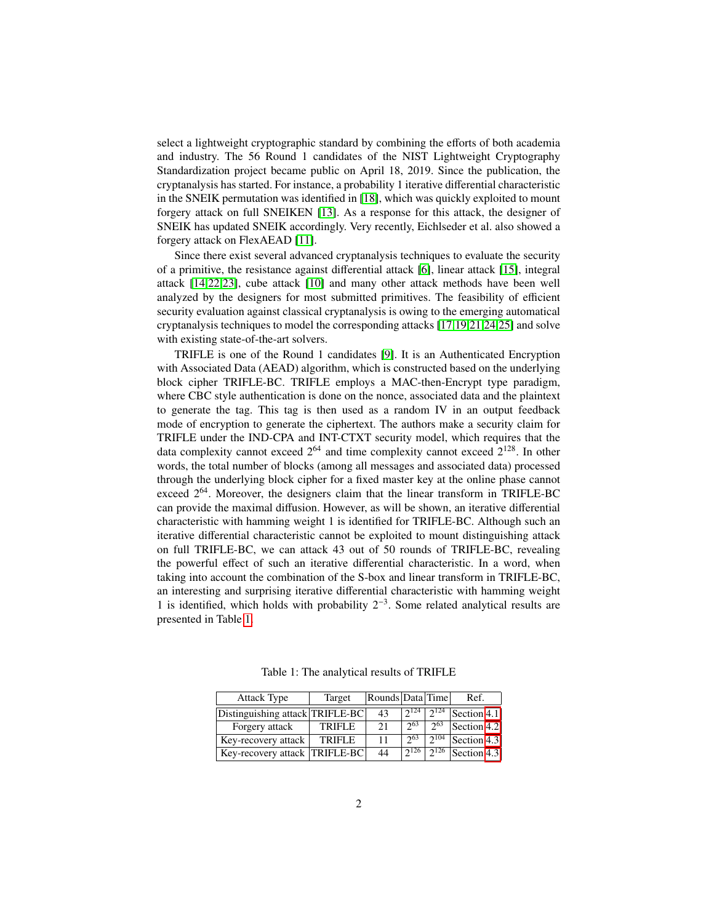select a lightweight cryptographic standard by combining the efforts of both academia and industry. The 56 Round 1 candidates of the NIST Lightweight Cryptography Standardization project became public on April 18, 2019. Since the publication, the cryptanalysis has started. For instance, a probability 1 iterative differential characteristic in the SNEIK permutation was identified in [\[18\]](#page-14-4), which was quickly exploited to mount forgery attack on full SNEIKEN [\[13\]](#page-14-5). As a response for this attack, the designer of SNEIK has updated SNEIK accordingly. Very recently, Eichlseder et al. also showed a forgery attack on FlexAEAD [\[11\]](#page-14-6).

Since there exist several advanced cryptanalysis techniques to evaluate the security of a primitive, the resistance against differential attack [\[6\]](#page-13-5), linear attack [\[15\]](#page-14-7), integral attack [\[14](#page-14-8)[,22](#page-15-0)[,23\]](#page-15-1), cube attack [\[10\]](#page-14-9) and many other attack methods have been well analyzed by the designers for most submitted primitives. The feasibility of efficient security evaluation against classical cryptanalysis is owing to the emerging automatical cryptanalysis techniques to model the corresponding attacks [\[17](#page-14-10)[,19](#page-14-11)[,21](#page-14-12)[,24,](#page-15-2)[25\]](#page-15-3) and solve with existing state-of-the-art solvers.

TRIFLE is one of the Round 1 candidates [\[9\]](#page-14-13). It is an Authenticated Encryption with Associated Data (AEAD) algorithm, which is constructed based on the underlying block cipher TRIFLE-BC. TRIFLE employs a MAC-then-Encrypt type paradigm, where CBC style authentication is done on the nonce, associated data and the plaintext to generate the tag. This tag is then used as a random IV in an output feedback mode of encryption to generate the ciphertext. The authors make a security claim for TRIFLE under the IND-CPA and INT-CTXT security model, which requires that the data complexity cannot exceed  $2^{64}$  and time complexity cannot exceed  $2^{128}$ . In other words, the total number of blocks (among all messages and associated data) processed through the underlying block cipher for a fixed master key at the online phase cannot exceed  $2^{64}$ . Moreover, the designers claim that the linear transform in TRIFLE-BC can provide the maximal diffusion. However, as will be shown, an iterative differential characteristic with hamming weight 1 is identified for TRIFLE-BC. Although such an iterative differential characteristic cannot be exploited to mount distinguishing attack on full TRIFLE-BC, we can attack 43 out of 50 rounds of TRIFLE-BC, revealing the powerful effect of such an iterative differential characteristic. In a word, when taking into account the combination of the S-box and linear transform in TRIFLE-BC, an interesting and surprising iterative differential characteristic with hamming weight 1 is identified, which holds with probability 2<sup>−</sup><sup>3</sup> . Some related analytical results are presented in Table [1.](#page-1-0)

<span id="page-1-0"></span>

| <b>Attack Type</b>              | Target        | Rounds Data Time |          |                        | Ref.        |
|---------------------------------|---------------|------------------|----------|------------------------|-------------|
| Distinguishing attack TRIFLE-BC |               | 43               |          | 2124                   | Section 4.1 |
| Forgery attack                  | <b>TRIFLE</b> | 21               | 263      | $\gamma$ <sup>63</sup> | Section 4.2 |
| Key-recovery attack             | <b>TRIFLE</b> | 11               | $2^{63}$ | 2104                   | Section 4.3 |
| Key-recovery attack  TRIFLE-BC  |               | 44               | 2126     | 2126                   | Section 4.3 |

Table 1: The analytical results of TRIFLE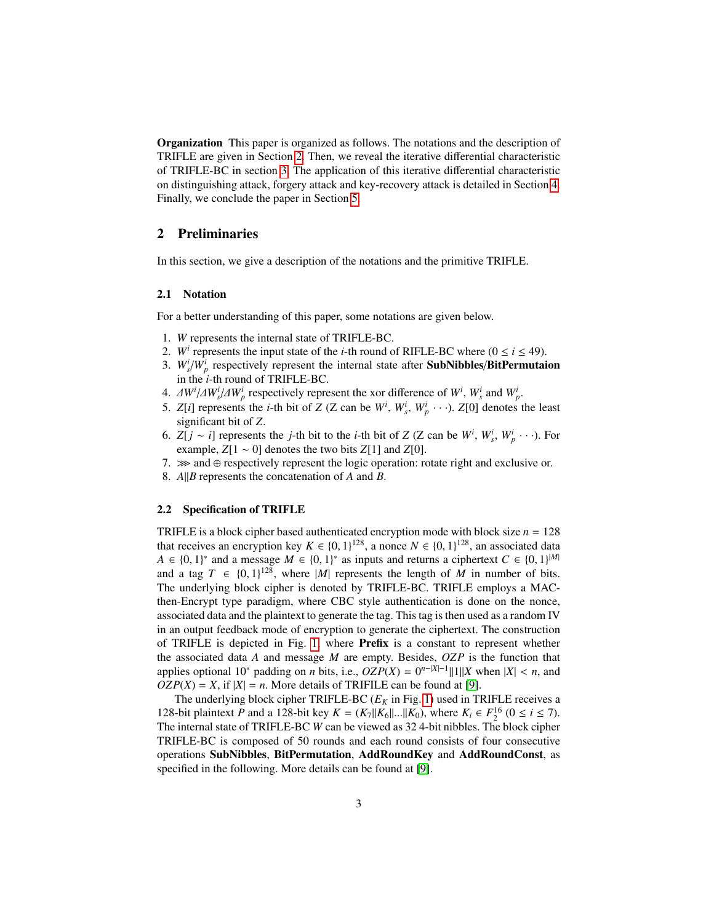Organization This paper is organized as follows. The notations and the description of TRIFLE are given in Section [2.](#page-2-0) Then, we reveal the iterative differential characteristic of TRIFLE-BC in section [3.](#page-5-0) The application of this iterative differential characteristic on distinguishing attack, forgery attack and key-recovery attack is detailed in Section [4.](#page-6-0) Finally, we conclude the paper in Section [5.](#page-13-6)

## <span id="page-2-0"></span>2 Preliminaries

In this section, we give a description of the notations and the primitive TRIFLE.

#### 2.1 Notation

For a better understanding of this paper, some notations are given below.

- 1. *W* represents the internal state of TRIFLE-BC.
- 2. *W<sup><i>i*</sup> represents the input state of the *i*-th round of RIFLE-BC where ( $0 \le i \le 49$ ).
- 3.  $W_s^i/W_p^i$  respectively represent the internal state after **SubNibbles/BitPermutaion** in the *i*-th round of TRIFLE-BC.
- 4.  $\Delta W^i/\Delta W^i$ ,  $\Delta W^i$  respectively represent the xor difference of *W*<sup>*i*</sup>,  $W^i$  and  $W^i$ ,  $\bar{\Delta}$ .
- 5. *Z*[*i*] represents the *i*-th bit of *Z* (*Z* can be  $W^i$ ,  $W^i_s$ ,  $W^i_p$  · · · ). *Z*[0] denotes the least significant bit of *Z*.
- 6. *Z*[*j* ~ *i*] represents the *j*-th bit to the *i*-th bit of *Z* (*Z* can be  $W^i$ ,  $W^i_s$ ,  $W^i_p$  · · ·). For example,  $Z[1 \sim 0]$  denotes the two bits  $Z[1]$  and  $Z[0]$ .
- 7. ≫ and ⊕ respectively represent the logic operation: rotate right and exclusive or.
- 8. *A*||*B* represents the concatenation of *A* and *B*.

### 2.2 Specification of TRIFLE

TRIFLE is a block cipher based authenticated encryption mode with block size  $n = 128$ that receives an encryption key *K* ∈ {0, 1}<sup>128</sup>, a nonce *N* ∈ {0, 1}<sup>128</sup>, an associated data<br>  $A \in \{0, 1\}^*$  and a message *M* ∈ {0, 1}<sup>\*</sup> as inputs and returns a ciphertext *C* ∈ {0, 1}<sup>[*M*]</sup>  $A \in \{0, 1\}^*$  and a message  $M \in \{0, 1\}^*$  as inputs and returns a ciphertext  $C \in \{0, 1\}^{|M|}$ <br>and a tag  $T \in \{0, 1\}^{128}$  where  $|M|$  represents the length of M in number of hits and a tag  $T \in \{0, 1\}^{128}$ , where  $|M|$  represents the length of *M* in number of bits.<br>The underlying block cinner is denoted by TRIFI F-RC. TRIFI F employs a MAC-The underlying block cipher is denoted by TRIFLE-BC. TRIFLE employs a MACthen-Encrypt type paradigm, where CBC style authentication is done on the nonce, associated data and the plaintext to generate the tag. This tag is then used as a random IV in an output feedback mode of encryption to generate the ciphertext. The construction of TRIFLE is depicted in Fig. [1,](#page-3-0) where Prefix is a constant to represent whether the associated data *A* and message *M* are empty. Besides, *OZP* is the function that applies optional 10<sup>\*</sup> padding on *n* bits, i.e.,  $OZP(X) = 0^{n-|X|-1}||1||X$  when  $|X| < n$ , and  $OZP(X) - Y$  if  $|Y| = n$ . More details of TRIFII E can be found at [0]  $OZP(X) = X$ , if  $|X| = n$ . More details of TRIFILE can be found at [\[9\]](#page-14-13).

The underlying block cipher TRIFLE-BC  $(E_K$  in Fig. [1\)](#page-3-0) used in TRIFLE receives a 128-bit plaintext *P* and a 128-bit key  $K = (K_7||K_6||...||K_0)$ , where  $K_i \in F_2^{16}$   $(0 \le i \le 7)$ .<br>The internal state of TRIFI E-RC *W* can be viewed as 32.4-bit nibbles. The block cipher The internal state of TRIFLE-BC *W* can be viewed as 32 4-bit nibbles. The block cipher TRIFLE-BC is composed of 50 rounds and each round consists of four consecutive operations SubNibbles, BitPermutation, AddRoundKey and AddRoundConst, as specified in the following. More details can be found at [\[9\]](#page-14-13).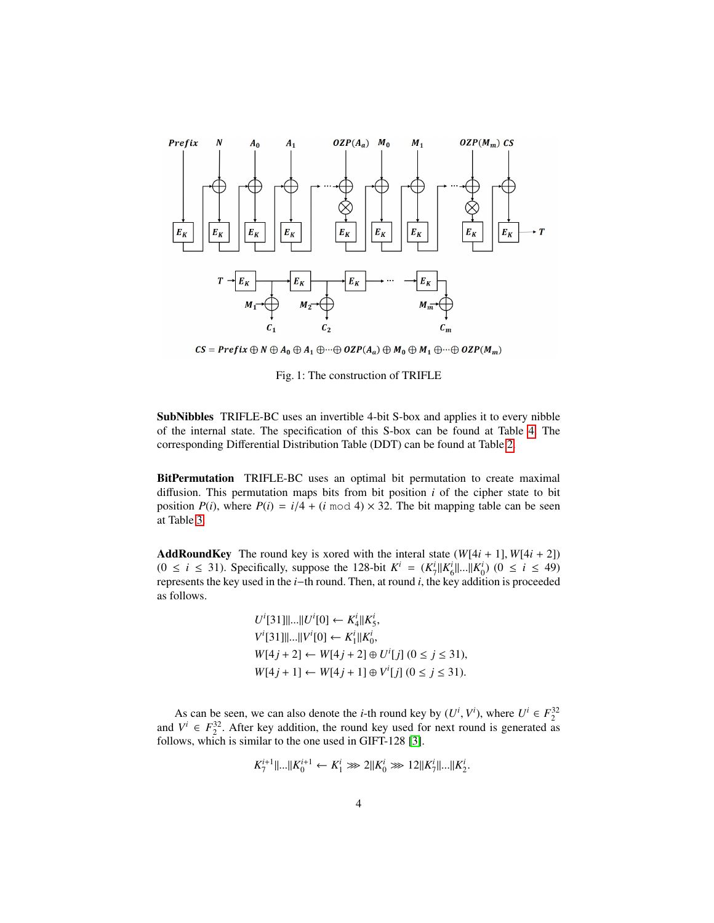<span id="page-3-0"></span>

 $CS = Prefix \oplus N \oplus A_0 \oplus A_1 \oplus \cdots \oplus OZP(A_a) \oplus M_0 \oplus M_1 \oplus \cdots \oplus OZP(M_m)$ 

Fig. 1: The construction of TRIFLE

SubNibbles TRIFLE-BC uses an invertible 4-bit S-box and applies it to every nibble of the internal state. The specification of this S-box can be found at Table [4.](#page-5-1) The corresponding Differential Distribution Table (DDT) can be found at Table [2.](#page-4-0)

BitPermutation TRIFLE-BC uses an optimal bit permutation to create maximal diffusion. This permutation maps bits from bit position *i* of the cipher state to bit position  $P(i)$ , where  $P(i) = i/4 + (i \mod 4) \times 32$ . The bit mapping table can be seen at Table [3.](#page-4-1)

**AddRoundKey** The round key is xored with the interal state  $(W[4i + 1], W[4i + 2])$  $(0 \le i \le 31)$ . Specifically, suppose the 128-bit  $K^i = (K^i_7||K^i_6||...||K^i_0)$   $(0 \le i \le 49)$ <br>represents the key used in the *i*-th round. Then, at round *i* the key addition is proceeded represents the key used in the *i*−th round. Then, at round *i*, the key addition is proceeded as follows.

> $U^{i}[31]$ ||...|| $U^{i}[0] \leftarrow K_{4}^{i}$ || $K_{5}^{i}$ <br> $V_{4}^{i}[31]$ ||...|| $U^{i}[0]$  $V^i[31]$ ||...|| $V^i[0] \leftarrow K_1^i$ || $K_0^i$ ,<br>  $W^{i}A$  i... 21  $W[4j + 2] \leftarrow W[4j + 2] \oplus U^{i}[j] \ (0 \leq j \leq 31),$ <br> $W[4j + 3] \leftarrow W[4j + 3] \oplus U^{i}[3] \ (0 \leq j \leq 31).$ *W*[4*j* + 1] ← *W*[4*j* + 1] ⊕ *V*<sup>*i*</sup>[*j*] (0 ≤ *j* ≤ 31).

As can be seen, we can also denote the *i*-th round key by  $(U^i, V^i)$ , where  $U^i \in F_2^{32}$ <br> $V^i \in F^{32}$ . After key addition, the round key used for next round is generated as and  $V^i \in F_2^{32}$ . After key addition, the round key used for next round is generated as follows, which is similar to the one used in GIFT-128 [\[3\]](#page-13-7).

$$
K_7^{i+1}||...||K_0^{i+1} \leftarrow K_1^i \gg 2||K_0^i \gg 12||K_7^i||...||K_2^i.
$$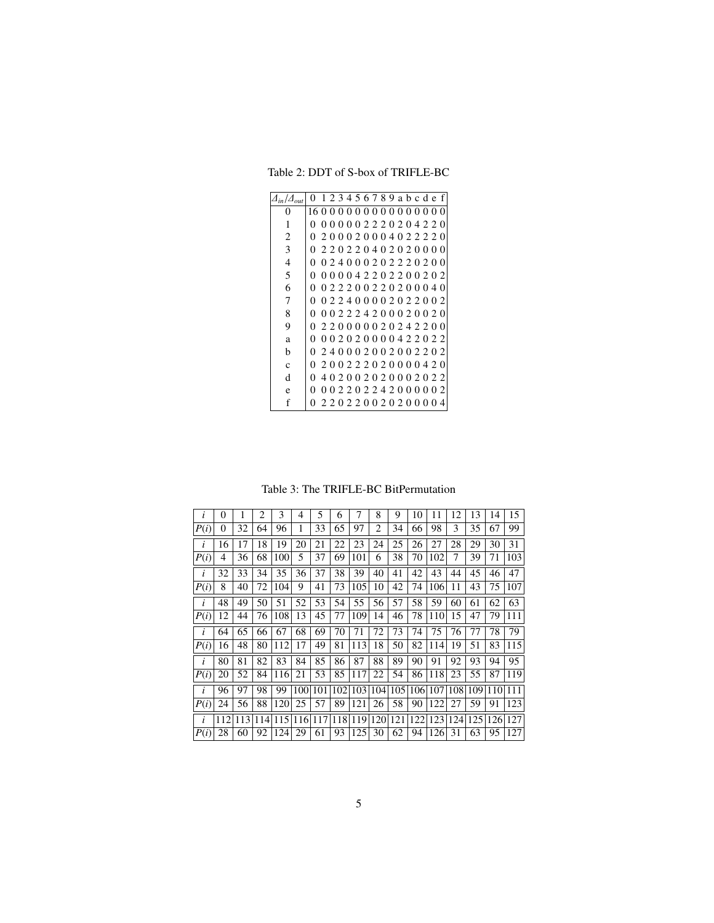<span id="page-4-0"></span>Table 2: DDT of S-box of TRIFLE-BC

| $\varDelta_{in}/\varDelta$ | 0                  |          |          |  |                               |  |  |  |          | 123456789abcdef |
|----------------------------|--------------------|----------|----------|--|-------------------------------|--|--|--|----------|-----------------|
| 0                          | 160000000000000000 |          |          |  |                               |  |  |  |          |                 |
| 1                          | 0                  | $\theta$ | $\theta$ |  | 0002220204220                 |  |  |  |          |                 |
| 2                          | 0                  |          | 2.0      |  | 0020004022220                 |  |  |  |          |                 |
| 3                          | 0                  |          |          |  | 2 2 0 2 2 0 4 0 2 0 2 0 0 0 0 |  |  |  |          |                 |
| 4                          | 0                  |          |          |  | 024000202220200               |  |  |  |          |                 |
| 5                          | 0                  |          |          |  | 000042202200202               |  |  |  |          |                 |
| 6                          | 0                  |          |          |  | 022200220200040               |  |  |  |          |                 |
| 7                          | 0                  |          |          |  | 022400002022002               |  |  |  |          |                 |
| 8                          | $\mathbf{\Omega}$  |          |          |  | 002224200020020               |  |  |  |          |                 |
| 9                          | 0                  |          |          |  | 220000020242200               |  |  |  |          |                 |
| a                          | 0                  |          |          |  | 002020000422022               |  |  |  |          |                 |
| b                          | 0                  |          |          |  | 240002002002202               |  |  |  |          |                 |
| $\mathbf{C}$               | 0                  |          |          |  | 200222020000420               |  |  |  |          |                 |
| d                          | 0                  |          |          |  | 402002020002022               |  |  |  |          |                 |
| e                          | 0                  | $\theta$ |          |  | 02202242000002                |  |  |  |          |                 |
| f                          | 0                  |          |          |  | 220220020200                  |  |  |  | $\theta$ | 4               |

Table 3: The TRIFLE-BC BitPermutation

<span id="page-4-1"></span>

| i    | 0   |     | 2   | 3   | 4   | 5   | 6   | 7   | 8              | 9   | 10  | 11  | 12  | 13  | 14  | 15  |
|------|-----|-----|-----|-----|-----|-----|-----|-----|----------------|-----|-----|-----|-----|-----|-----|-----|
| P(i) | 0   | 32  | 64  | 96  | 1   | 33  | 65  | 97  | $\overline{c}$ | 34  | 66  | 98  | 3   | 35  | 67  | 99  |
| i    | 16  | 17  | 18  | 19  | 20  | 21  | 22  | 23  | 24             | 25  | 26  | 27  | 28  | 29  | 30  | 31  |
| P(i) | 4   | 36  | 68  | 100 | 5   | 37  | 69  | 101 | 6              | 38  | 70  | 102 | 7   | 39  | 71  | 103 |
| i    | 32  | 33  | 34  | 35  | 36  | 37  | 38  | 39  | 40             | 41  | 42  | 43  | 44  | 45  | 46  | 47  |
| P(i) | 8   | 40  | 72  | 104 | 9   | 41  | 73  | 105 | 10             | 42  | 74  | 106 | 11  | 43  | 75  | 107 |
| i    | 48  | 49  | 50  | 51  | 52  | 53  | 54  | 55  | 56             | 57  | 58  | 59  | 60  | 61  | 62  | 63  |
| P(i) | 12  | 44  | 76  | 108 | 13  | 45  | 77  | 109 | 14             | 46  | 78  | 110 | 15  | 47  | 79  | 111 |
| i    | 64  | 65  | 66  | 67  | 68  | 69  | 70  | 71  | 72             | 73  | 74  | 75  | 76  | 77  | 78  | 79  |
| P(i) | 16  | 48  | 80  | 112 | 17  | 49  | 81  | 113 | 18             | 50  | 82  | 114 | 19  | 51  | 83  | 115 |
| i    | 80  | 81  | 82  | 83  | 84  | 85  | 86  | 87  | 88             | 89  | 90  | 91  | 92  | 93  | 94  | 95  |
| P(i) | 20  | 52  | 84  | 116 | 21  | 53  | 85  | 117 | 22             | 54  | 86  | 118 | 23  | 55  | 87  | 119 |
| i    | 96  | 97  | 98  | 99  | 100 | 101 | 102 | 103 | 104            | 105 | 106 | 107 | 108 | 109 | 110 | 111 |
| P(i) | 24  | 56  | 88  | 120 | 25  | 57  | 89  | 121 | 26             | 58  | 90  | 122 | 27  | 59  | 91  | 123 |
| i    | 112 | 113 | 114 | 115 | 116 | 117 | 118 | 119 | 120            | 121 | 122 | 123 | 124 | 125 | 126 | 127 |
| P(i) | 28  | 60  | 92  | 124 | 29  | 61  | 93  | 125 | 30             | 62  | 94  | 126 | 31  | 63  | 95  | 127 |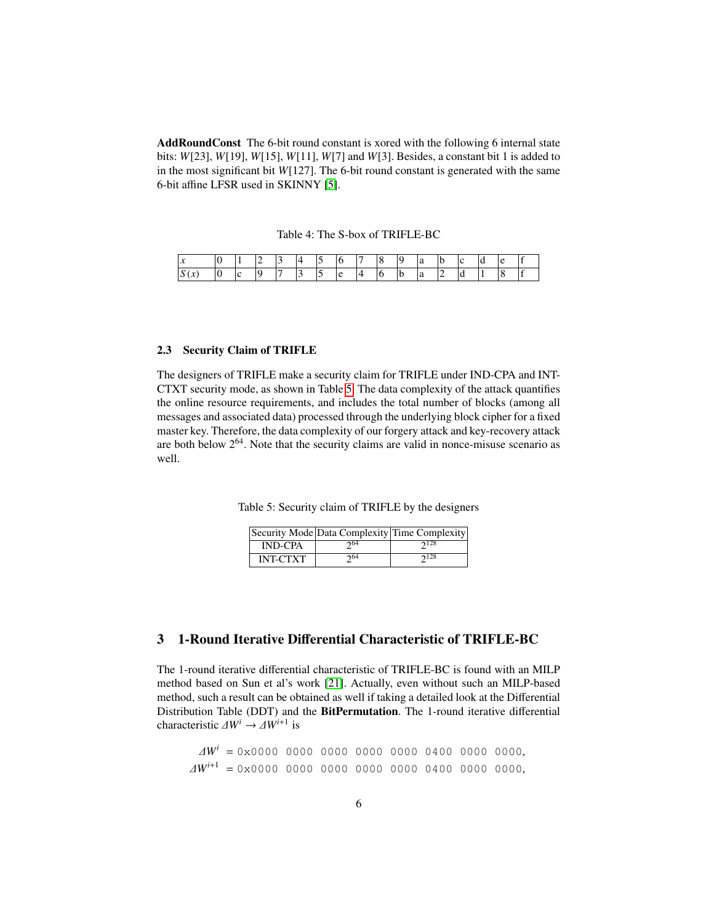AddRoundConst The 6-bit round constant is xored with the following 6 internal state bits: *W*[23], *W*[19], *W*[15], *W*[11], *W*[7] and *W*[3]. Besides, a constant bit 1 is added to in the most significant bit *W*[127]. The 6-bit round constant is generated with the same 6-bit affine LFSR used in SKINNY [\[5\]](#page-13-3).

Table 4: The S-box of TRIFLE-BC

<span id="page-5-1"></span>

| . . |  | $\sim$ |                          |  |   | u |  |  |  |
|-----|--|--------|--------------------------|--|---|---|--|--|--|
| . . |  |        | $\overline{\phantom{a}}$ |  | ı | u |  |  |  |

### 2.3 Security Claim of TRIFLE

The designers of TRIFLE make a security claim for TRIFLE under IND-CPA and INT-CTXT security mode, as shown in Table [5.](#page-5-2) The data complexity of the attack quantifies the online resource requirements, and includes the total number of blocks (among all messages and associated data) processed through the underlying block cipher for a fixed master key. Therefore, the data complexity of our forgery attack and key-recovery attack are both below  $2<sup>64</sup>$ . Note that the security claims are valid in nonce-misuse scenario as well.

<span id="page-5-2"></span>Table 5: Security claim of TRIFLE by the designers

|                 |                        | Security Mode Data Complexity Time Complexity |
|-----------------|------------------------|-----------------------------------------------|
| <b>IND-CPA</b>  | $\gamma$ <sup>64</sup> | $2^{128}$                                     |
| <b>INT-CTXT</b> | 264                    | 2128                                          |

# <span id="page-5-0"></span>3 1-Round Iterative Differential Characteristic of TRIFLE-BC

The 1-round iterative differential characteristic of TRIFLE-BC is found with an MILP method based on Sun et al's work [\[21\]](#page-14-12). Actually, even without such an MILP-based method, such a result can be obtained as well if taking a detailed look at the Differential Distribution Table (DDT) and the BitPermutation. The 1-round iterative differential characteristic  $\Delta W^i \to \Delta W^{i+1}$  is

 $\Delta W^i = 0 \times 0000$  0000 0000 0000 0000 0000 0000, ∆*W<sup>i</sup>*+<sup>1</sup> <sup>=</sup> 0x0000 0000 0000 0000 0000 0400 0000 0000,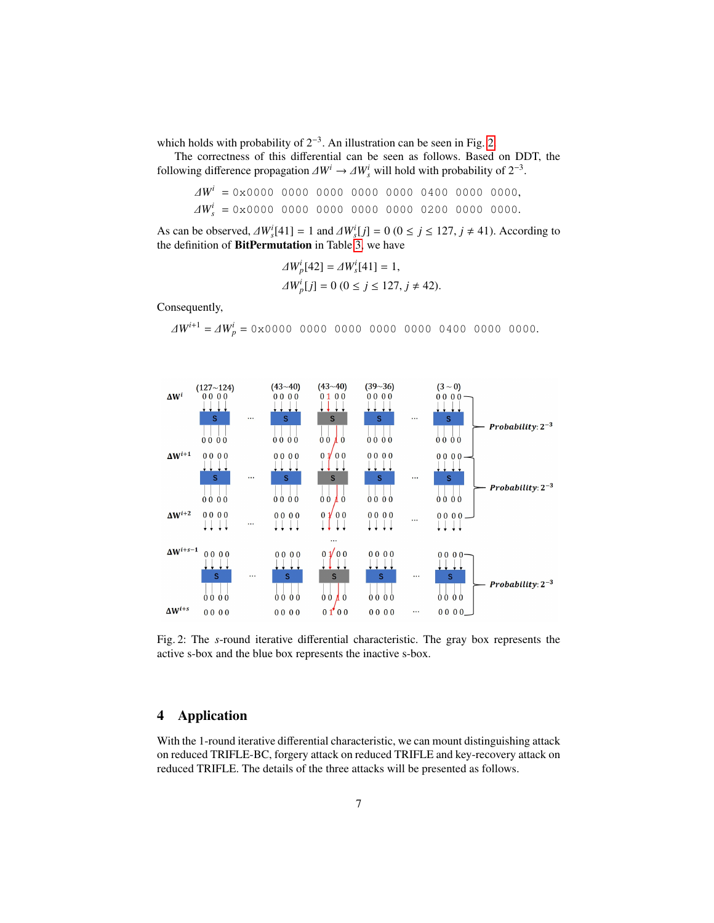which holds with probability of  $2^{-3}$ . An illustration can be seen in Fig. [2.](#page-6-1)

The correctness of this differential can be seen as follows. Based on DDT, the following difference propagation  $\Delta W^i \to \Delta W^i_s$  will hold with probability of  $2^{-3}$ .

$$
\Delta W^i = 0 \times 0000 \quad 0000 \quad 0000 \quad 0000 \quad 0000 \quad 0400 \quad 0000 \quad 0000,
$$
  

$$
\Delta W^i_s = 0 \times 0000 \quad 0000 \quad 0000 \quad 0000 \quad 0000 \quad 0200 \quad 0000 \quad 0000.
$$

As can be observed,  $\Delta W_s^i[41] = 1$  and  $\Delta W_s^i[j] = 0$  ( $0 \le j \le 127$ ,  $j \ne 41$ ). According to the definition of **RitPermutation** in Table 3, we have the definition of BitPermutation in Table [3,](#page-4-1) we have

$$
\Delta W_p^i[42] = \Delta W_s^i[41] = 1,
$$
  
 
$$
\Delta W_p^i[j] = 0 \ (0 \le j \le 127, j \ne 42).
$$

Consequently,

∆*W<sup>i</sup>*+<sup>1</sup> <sup>=</sup> ∆*W<sup>i</sup> <sup>p</sup>* <sup>=</sup> 0x0000 0000 0000 0000 0000 0400 0000 0000.

<span id="page-6-1"></span>

Fig. 2: The *s*-round iterative differential characteristic. The gray box represents the active s-box and the blue box represents the inactive s-box.

# <span id="page-6-0"></span>4 Application

With the 1-round iterative differential characteristic, we can mount distinguishing attack on reduced TRIFLE-BC, forgery attack on reduced TRIFLE and key-recovery attack on reduced TRIFLE. The details of the three attacks will be presented as follows.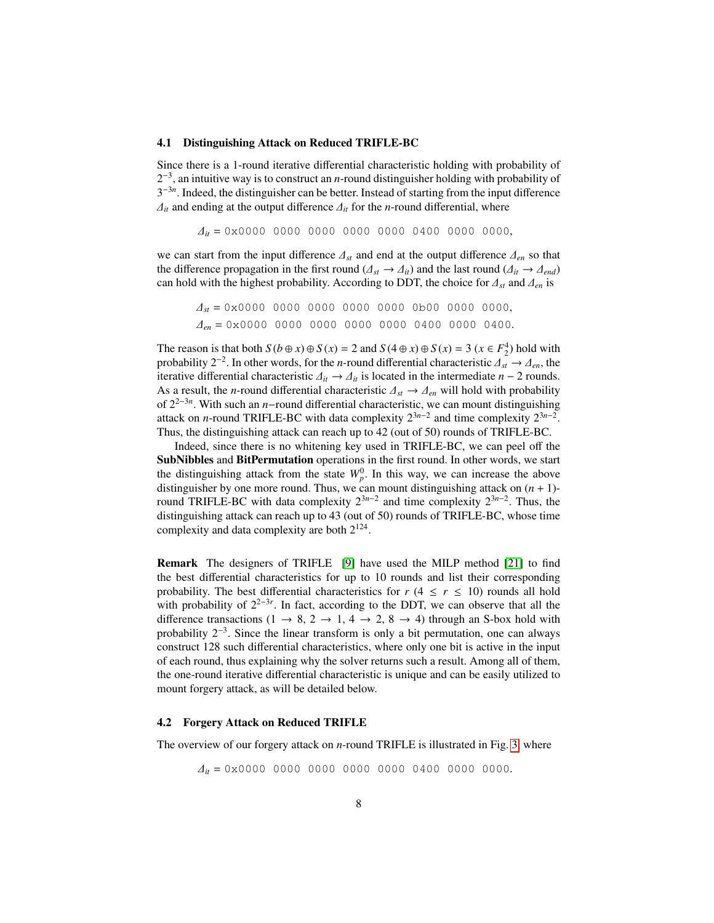### <span id="page-7-0"></span>4.1 Distinguishing Attack on Reduced TRIFLE-BC

Since there is a 1-round iterative differential characteristic holding with probability of 2 −3 , an intuitive way is to construct an *n*-round distinguisher holding with probability of 3<sup>-3n</sup>. Indeed, the distinguisher can be better. Instead of starting from the input difference  $\Delta$ <sup>*it*</sup> and ending at the output difference  $\Delta$ <sup>*it*</sup> for the *n*-round differential, where

$$
\Delta_{it} = 0 \times 0000 \quad 0000 \quad 0000 \quad 0000 \quad 0000 \quad 0400 \quad 0000 \quad 0000,
$$

we can start from the input difference  $\Lambda_{st}$  and end at the output difference  $\Lambda_{en}$  so that the difference propagation in the first round ( $\Delta_{st} \rightarrow \Delta_{it}$ ) and the last round ( $\Delta_{it} \rightarrow \Delta_{end}$ ) can hold with the highest probability. According to DDT, the choice for <sup>∆</sup>*st* and <sup>∆</sup>*en* is

$$
\Delta_{st} = 0 \times 0000 \quad 0000 \quad 0000 \quad 0000 \quad 0000 \quad 0 \text{b}00 \quad 0000 \quad 0000,
$$
  

$$
\Delta_{en} = 0 \times 0000 \quad 0000 \quad 0000 \quad 0000 \quad 0000 \quad 0400 \quad 0400.
$$

The reason is that both  $S (b \oplus x) \oplus S (x) = 2$  and  $S (4 \oplus x) \oplus S (x) = 3 (x \in F_2^4)$  hold with probability 2<sup>-2</sup>. In other words, for the *n*-round differential characteristic  $\Delta_{st} \to \Delta_{en}$ , the internetiate differential characteristic  $\Delta_{st} \to \Delta_{st}$  is located in the intermediate  $n = 2$  rounds iterative differential characteristic  $\Delta_{it}$  →  $\Delta_{it}$  is located in the intermediate *n* − 2 rounds. As a result, the *<sup>n</sup>*-round differential characteristic <sup>∆</sup>*st* <sup>→</sup> <sup>∆</sup>*en* will hold with probability of 22−3*<sup>n</sup>* . With such an *n*−round differential characteristic, we can mount distinguishing attack on *n*-round TRIFLE-BC with data complexity  $2^{3n-2}$  and time complexity  $2^{3n-2}$ . Thus, the distinguishing attack can reach up to 42 (out of 50) rounds of TRIFLE-BC.

Indeed, since there is no whitening key used in TRIFLE-BC, we can peel off the SubNibbles and BitPermutation operations in the first round. In other words, we start the distinguishing attack from the state  $W_p^0$ . In this way, we can increase the above distinguisher by one more round. Thus, we can mount distinguishing attack on  $(n + 1)$ round TRIFLE-BC with data complexity  $2^{3n-2}$  and time complexity  $2^{3n-2}$ . Thus, the distinguishing attack can reach up to 43 (out of 50) rounds of TRIFLE-BC, whose time complexity and data complexity are both  $2^{124}$ .

Remark The designers of TRIFLE [\[9\]](#page-14-13) have used the MILP method [\[21\]](#page-14-12) to find the best differential characteristics for up to 10 rounds and list their corresponding probability. The best differential characteristics for  $r$  (4  $\leq r \leq 10$ ) rounds all hold with probability of  $2^{2-3r}$ . In fact, according to the DDT, we can observe that all the difference transactions (1  $\rightarrow$  8, 2  $\rightarrow$  1, 4  $\rightarrow$  2, 8  $\rightarrow$  4) through an S-box hold with probability 2<sup>-3</sup>. Since the linear transform is only a bit permutation, one can always construct 128 such differential characteristics, where only one bit is active in the input of each round, thus explaining why the solver returns such a result. Among all of them, the one-round iterative differential characteristic is unique and can be easily utilized to mount forgery attack, as will be detailed below.

### <span id="page-7-1"></span>4.2 Forgery Attack on Reduced TRIFLE

The overview of our forgery attack on *n*-round TRIFLE is illustrated in Fig. [3,](#page-8-1) where

<sup>∆</sup>*it* <sup>=</sup> 0x0000 0000 0000 0000 0000 0400 0000 0000.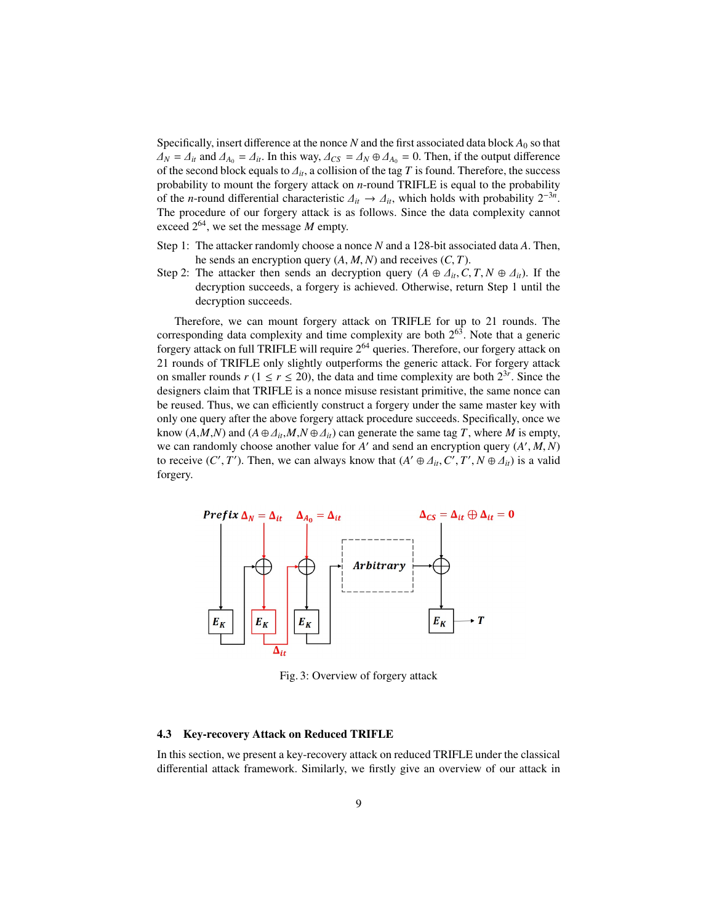Specifically, insert difference at the nonce  $N$  and the first associated data block  $A_0$  so that  $\Delta$ <sup>*N*</sup> =  $\Delta$ <sup>*it*</sup> and  $\Delta$ <sup>*A*<sub>0</sub></sub> =  $\Delta$ <sup>*it*</sup>. In this way,  $\Delta$ *CS* =  $\Delta$ <sup>*N*</sup> ⊕  $\Delta$ *A*<sub>0</sub> = 0. Then, if the output difference</sup> of the second block equals to ∆*it*, a collision of the tag *<sup>T</sup>* is found. Therefore, the success probability to mount the forgery attack on *n*-round TRIFLE is equal to the probability of the *n*-round differential characteristic  $\Delta_{it} \rightarrow \Delta_{it}$ , which holds with probability  $2^{-3n}$ .<br>The procedure of our forgery attack is as follows. Since the data complexity cannot The procedure of our forgery attack is as follows. Since the data complexity cannot exceed  $2^{64}$ , we set the message *M* empty.

- Step 1: The attacker randomly choose a nonce *N* and a 128-bit associated data *A*. Then, he sends an encryption query (*A*, *<sup>M</sup>*, *<sup>N</sup>*) and receives (*C*, *<sup>T</sup>*).
- Step 2: The attacker then sends an decryption query  $(A \oplus \Delta_{it}, C, T, N \oplus \Delta_{it})$ . If the decryption succeeds, a forgery is achieved. Otherwise, return Step 1 until the decryption succeeds.

Therefore, we can mount forgery attack on TRIFLE for up to 21 rounds. The corresponding data complexity and time complexity are both  $2^{63}$ . Note that a generic forgery attack on full TRIFLE will require 2<sup>64</sup> queries. Therefore, our forgery attack on 21 rounds of TRIFLE only slightly outperforms the generic attack. For forgery attack on smaller rounds  $r$  ( $1 \le r \le 20$ ), the data and time complexity are both  $2^{3r}$ . Since the designers claim that TRIFLE is a nonce misuse resistant primitive, the same nonce can be reused. Thus, we can efficiently construct a forgery under the same master key with only one query after the above forgery attack procedure succeeds. Specifically, once we know  $(A, M, N)$  and  $(A \oplus \Delta_{it}, M, N \oplus \Delta_{it})$  can generate the same tag *T*, where *M* is empty, we can randomly choose another value for *A'* and send an encryption query  $(A', M, N)$ <br>to receive  $(C', T')$ . Then, we can always know that  $(A' \oplus A, C', T', N \oplus A)$  is a valid to receive  $(C', T')$ . Then, we can always know that  $(A' \oplus \Delta_{it}, C', T', N \oplus \Delta_{it})$  is a valid forgery forgery.

<span id="page-8-1"></span>

Fig. 3: Overview of forgery attack

#### <span id="page-8-0"></span>4.3 Key-recovery Attack on Reduced TRIFLE

In this section, we present a key-recovery attack on reduced TRIFLE under the classical differential attack framework. Similarly, we firstly give an overview of our attack in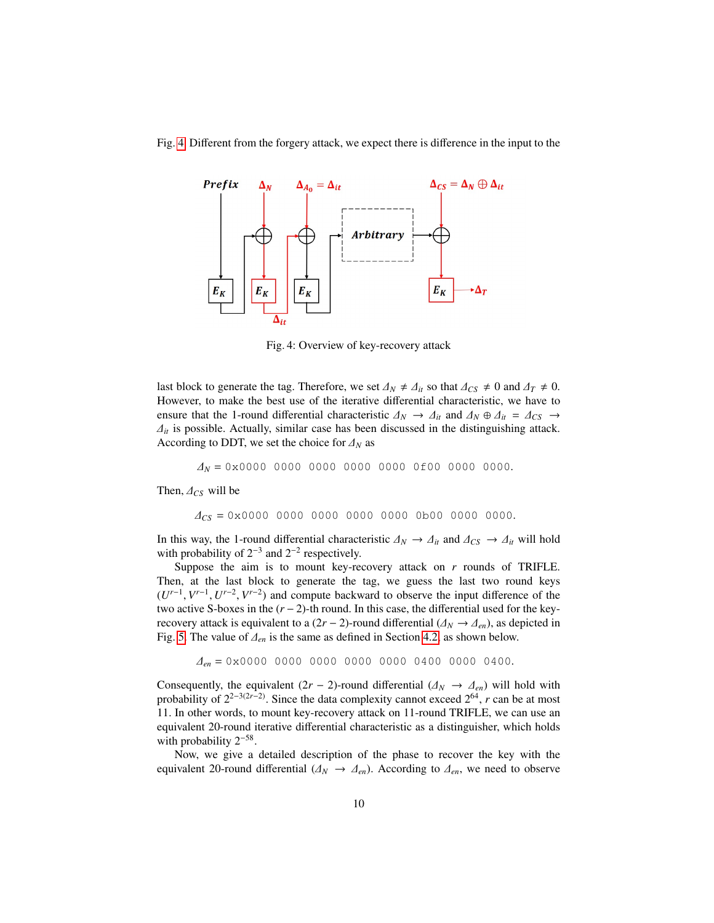Fig. [4.](#page-9-0) Different from the forgery attack, we expect there is difference in the input to the

<span id="page-9-0"></span>

Fig. 4: Overview of key-recovery attack

last block to generate the tag. Therefore, we set  $\Delta_N \neq \Delta_{it}$  so that  $\Delta_{CS} \neq 0$  and  $\Delta_T \neq 0$ . However, to make the best use of the iterative differential characteristic, we have to ensure that the 1-round differential characteristic  $\Delta_N \to \Delta_{it}$  and  $\Delta_N \oplus \Delta_{it} = \Delta_{CS} \to$  $\Delta_{it}$  is possible. Actually, similar case has been discussed in the distinguishing attack. According to DDT, we set the choice for <sup>∆</sup>*<sup>N</sup>* as

<sup>∆</sup>*<sup>N</sup>* <sup>=</sup> 0x0000 0000 0000 0000 0000 0f00 0000 0000.

Then,  $\Delta_{CS}$  will be

$$
\Delta_{CS} = 0 \times 0000 \quad 0000 \quad 0000 \quad 0000 \quad 0000 \quad 0 \text{b}00 \quad 0000 \quad 0000.
$$

In this way, the 1-round differential characteristic  $\Delta_N \to \Delta_{it}$  and  $\Delta_{CS} \to \Delta_{it}$  will hold with probability of  $2^{-3}$  and  $2^{-2}$  respectively.

Suppose the aim is to mount key-recovery attack on *r* rounds of TRIFLE. Then, at the last block to generate the tag, we guess the last two round keys  $(U^{r-1}, V^{r-1}, U^{r-2}, V^{r-2})$  and compute backward to observe the input difference of the two active S-boyes in the  $(r-2)$ -th round. In this case, the differential used for the keytwo active S-boxes in the (*r* − 2)-th round. In this case, the differential used for the keyrecovery attack is equivalent to a  $(2r - 2)$ -round differential  $(\Delta_N \rightarrow \Delta_{en})$ , as depicted in Fig. [5.](#page-10-0) The value of <sup>∆</sup>*en* is the same as defined in Section [4.2,](#page-7-1) as shown below.

$$
\Delta_{en} = 0 \times 0000 \quad 0000 \quad 0000 \quad 0000 \quad 0000 \quad 0400 \quad 0000 \quad 0400.
$$

Consequently, the equivalent  $(2r - 2)$ -round differential  $(\Delta_N \to \Delta_{en})$  will hold with probability of  $2^{2-3(2r-2)}$ . Since the data complexity cannot exceed  $2^{64}$ , *r* can be at most 11. In other words, to mount key-recovery attack on 11-round TRIFLE, we can use an equivalent 20-round iterative differential characteristic as a distinguisher, which holds with probability  $2^{-58}$ .

Now, we give a detailed description of the phase to recover the key with the equivalent 20-round differential ( $\Delta_N \to \Delta_{en}$ ). According to  $\Delta_{en}$ , we need to observe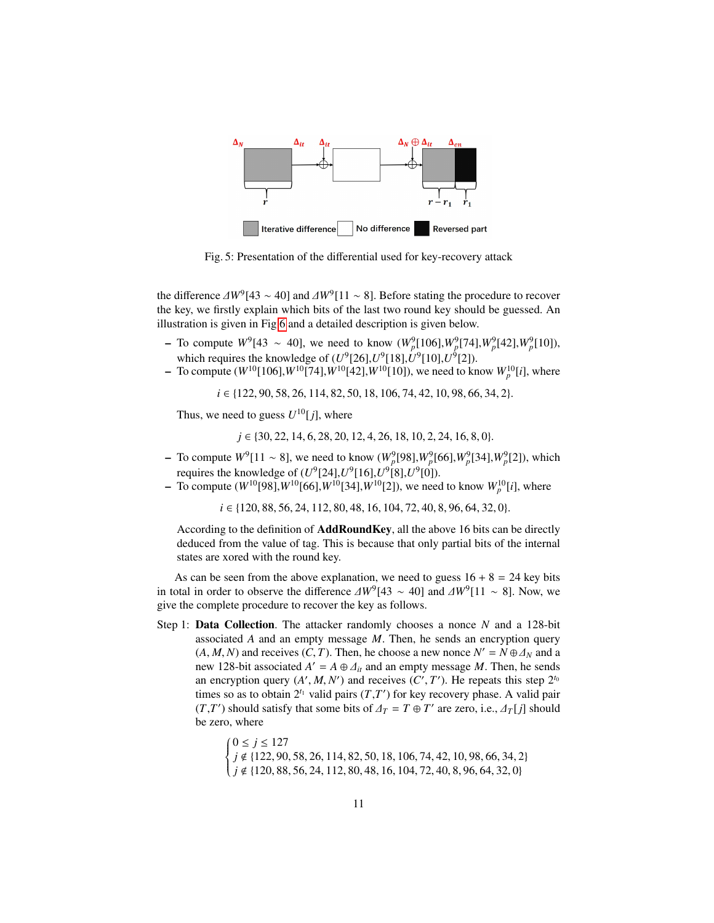<span id="page-10-0"></span>

Fig. 5: Presentation of the differential used for key-recovery attack

the difference  $\Delta W^9$ [43 ∼ 40] and  $\Delta W^9$ [11 ∼ 8]. Before stating the procedure to recover the key we firstly explain which bits of the last two round key should be guessed. An the key, we firstly explain which bits of the last two round key should be guessed. An illustration is given in Fig [6](#page-11-0) and a detailed description is given below.

- − To compute  $W^9[43 \sim 40]$ , we need to know  $(W^9_p[106], W^9_p[74], W^9_p[42], W^9_p[10])$ , which requires the knowledge of  $(U^9[26], U^9[18], U^9[10], U^9[2])$ .
- $-$  To compute (*W*<sup>10</sup>[106],*W*<sup>10</sup>[74],*W*<sup>10</sup>[42],*W*<sup>10</sup>[10]), we need to know *W*<sub>p</sub><sup>10</sup>[*i*], where

*i* ∈ {122, 90, 58, 26, 114, 82, 50, 18, 106, 74, 42, 10, 98, 66, 34, 2}.

Thus, we need to guess  $U^{10}[j]$ , where

*j* ∈ {30, 22, 14, 6, 28, 20, 12, 4, 26, 18, 10, 2, 24, 16, 8, 0}.

- − To compute  $W^9[11 \sim 8]$ , we need to know  $(W^9_p[98], W^9_p[66], W^9_p[34], W^9_p[2])$ , which requires the knowledge of  $(U^9[24], U^9[16], U^9[8], U^9[0])$ .
- To compute  $(W^{10}[98], W^{10}[66], W^{10}[34], W^{10}[2])$ , we need to know  $W^{10}_{p}[i]$ , where

*i* ∈ {120, 88, 56, 24, 112, 80, 48, 16, 104, 72, 40, 8, 96, 64, 32, 0}.

According to the definition of AddRoundKey, all the above 16 bits can be directly deduced from the value of tag. This is because that only partial bits of the internal states are xored with the round key.

As can be seen from the above explanation, we need to guess  $16 + 8 = 24$  key bits in total in order to observe the difference  $\Delta W^9$ [43 ∼ 40] and  $\Delta W^9$ [11 ∼ 8]. Now, we give the complete procedure to recover the key as follows give the complete procedure to recover the key as follows.

Step 1: Data Collection. The attacker randomly chooses a nonce *N* and a 128-bit associated *A* and an empty message *M*. Then, he sends an encryption query  $(A, M, N)$  and receives  $(C, T)$ . Then, he choose a new nonce  $N' = N \oplus \Delta_N$  and a new 128-bit associated  $A' = A \oplus \Delta$ , and an empty message M. Then he sends new 128-bit associated  $A' = A \oplus \Delta_{it}$  and an empty message *M*. Then, he sends<br>an encryption query (A' *M N'*) and receives (C' T'). He repeats this step  $2^{t_0}$ an encryption query  $(A', M, N')$  and receives  $(C', T')$ . He repeats this step  $2^{t_0}$ <br>times so as to obtain  $2^{t_1}$  valid pairs  $(T, T')$  for key recovery phase. A valid pair times so as to obtain  $2^{t_1}$  valid pairs  $(T, T')$  for key recovery phase. A valid pair  $(T, T')$  should satisfy that some bits of  $\Delta_T = T \oplus T'$  are zero, i.e.,  $\Delta_T[j]$  should be zero, where be zero, where

> $\Bigg\{$  $\overline{\mathcal{L}}$  $0 ≤ j ≤ 127$  $j \notin \{122, 90, 58, 26, 114, 82, 50, 18, 106, 74, 42, 10, 98, 66, 34, 2\}$ <br> $j \notin \{120, 88, 56, 24, 112, 80, 48, 16, 104, 72, 40, 8, 96, 64, 32, 0\}$ *j* ∉ {120, 88, 56, 24, 112, 80, 48, 16, 104, 72, 40, 8, 96, 64, 32, 0}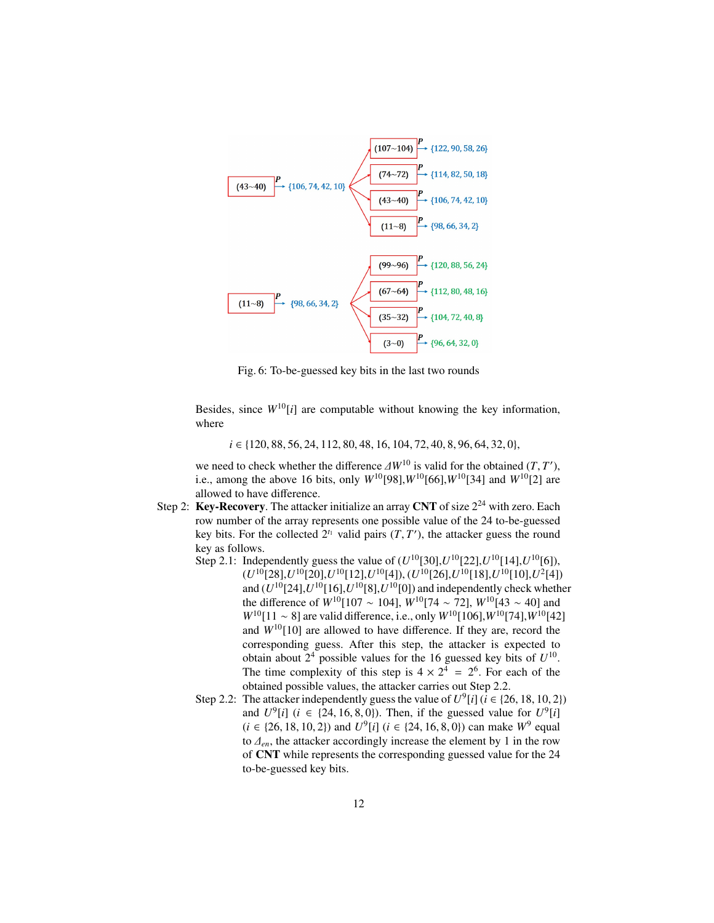<span id="page-11-0"></span>

Fig. 6: To-be-guessed key bits in the last two rounds

Besides, since  $W^{10}[i]$  are computable without knowing the key information, where

*i* ∈ {120, 88, 56, 24, 112, 80, 48, 16, 104, 72, 40, 8, 96, 64, 32, 0},

we need to check whether the difference  $\Delta W^{10}$  is valid for the obtained  $(T, T')$ ,<br>i.e., among the above 16 bits, only  $W^{10}[981]$   $W^{10}[66]$   $W^{10}[34]$  and  $W^{10}[3]$  are i.e., among the above 16 bits, only  $W^{10}[98]$ ,  $W^{10}[66]$ ,  $W^{10}[34]$  and  $W^{10}[2]$  are allowed to have difference.

- Step 2: Key-Recovery. The attacker initialize an array CNT of size  $2^{24}$  with zero. Each row number of the array represents one possible value of the 24 to-be-guessed key bits. For the collected  $2^{t_1}$  valid pairs  $(T, T')$ , the attacker guess the round key as follows key as follows.
	- Step 2.1: Independently guess the value of  $(U^{10}[30], U^{10}[22], U^{10}[14], U^{10}[6])$ ,  $(U^{10}[28], U^{10}[20], U^{10}[12], U^{10}[4]), (U^{10}[26], U^{10}[18], U^{10}[10], U^{2}[4])$ and  $(U^{10}[24], U^{10}[16], U^{10}[8], U^{10}[0])$  and independently check whether the difference of *W*<sup>10</sup>[107 ∼ 104],  $\hat{W}^{10}[74 \sim 72]$ ,  $W^{10}[43 \sim 40]$  and *W*<sup>10</sup>[11 ∼ 8] are valid difference, i.e., only *W*<sup>10</sup>[106], *W*<sup>10</sup>[74], *W*<sup>10</sup>[42] and  $W^{10}[10]$  are allowed to have difference. If they are, record the corresponding guess. After this step, the attacker is expected to obtain about  $2^4$  possible values for the 16 guessed key bits of  $U^{10}$ . The time complexity of this step is  $4 \times 2^4 = 2^6$ . For each of the obtained possible values, the attacker carries out Step 2.2.
	- Step 2.2: The attacker independently guess the value of  $U^9[i]$  ( $i \in \{26, 18, 10, 2\}$ )<br>and  $U^9[i]$  ( $i \in \{24, 16, 8, 0\}$ ) Then, if the guessed value for  $U^9[i]$ and  $U^9[i]$  (*i*  $\in$  {24, 16, 8, 0}). Then, if the guessed value for  $U^9[i]$ <br>(*i*  $\in$  12, 13, 10, 2)) and  $U^9[i]$  (*i*  $\in$  124, 16, 8, 0)) can make  $W^9$  equal  $(i \in \{26, 18, 10, 2\})$  and  $U^9[i]$  ( $i \in \{24, 16, 8, 0\}$ ) can make  $W^9$  equal to  $A$  the attacker accordingly increase the element by 1 in the row to ∆*en*, the attacker accordingly increase the element by 1 in the row of CNT while represents the corresponding guessed value for the 24 to-be-guessed key bits.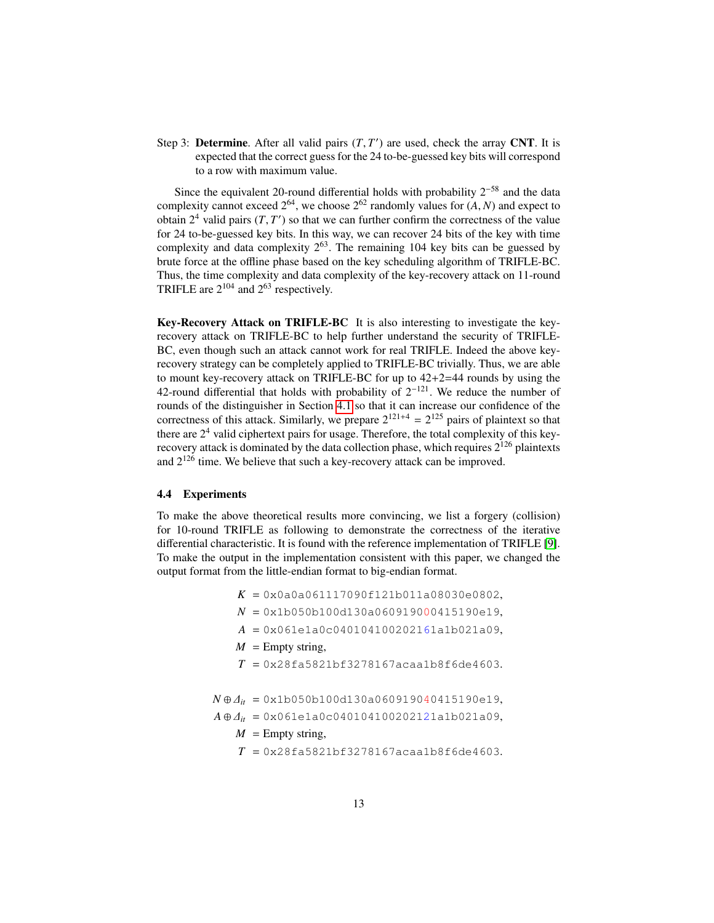Step 3: **Determine.** After all valid pairs  $(T, T')$  are used, check the array CNT. It is expected that the correct guess for the 24 to-be-guessed key bits will correspond expected that the correct guess for the 24 to-be-guessed key bits will correspond to a row with maximum value.

Since the equivalent 20-round differential holds with probability  $2^{-58}$  and the data complexity cannot exceed  $2^{64}$ , we choose  $2^{62}$  randomly values for  $(A, N)$  and expect to obtain  $2^4$  valid pairs  $(T, T')$  so that we can further confirm the correctness of the value<br>for 24 to-be-guessed key bits. In this way, we can recover 24 bits of the key with time for 24 to-be-guessed key bits. In this way, we can recover 24 bits of the key with time complexity and data complexity  $2^{63}$ . The remaining 104 key bits can be guessed by brute force at the offline phase based on the key scheduling algorithm of TRIFLE-BC. Thus, the time complexity and data complexity of the key-recovery attack on 11-round TRIFLE are  $2^{104}$  and  $2^{63}$  respectively.

Key-Recovery Attack on TRIFLE-BC It is also interesting to investigate the keyrecovery attack on TRIFLE-BC to help further understand the security of TRIFLE-BC, even though such an attack cannot work for real TRIFLE. Indeed the above keyrecovery strategy can be completely applied to TRIFLE-BC trivially. Thus, we are able to mount key-recovery attack on TRIFLE-BC for up to 42+2=44 rounds by using the 42-round differential that holds with probability of  $2^{-121}$ . We reduce the number of rounds of the distinguisher in Section [4.1](#page-7-0) so that it can increase our confidence of the correctness of this attack. Similarly, we prepare  $2^{121+4} = 2^{125}$  pairs of plaintext so that there are  $2<sup>4</sup>$  valid ciphertext pairs for usage. Therefore, the total complexity of this keyrecovery attack is dominated by the data collection phase, which requires  $2^{126}$  plaintexts and  $2^{126}$  time. We believe that such a key-recovery attack can be improved.

### 4.4 Experiments

To make the above theoretical results more convincing, we list a forgery (collision) for 10-round TRIFLE as following to demonstrate the correctness of the iterative differential characteristic. It is found with the reference implementation of TRIFLE [\[9\]](#page-14-13). To make the output in the implementation consistent with this paper, we changed the output format from the little-endian format to big-endian format.

- *<sup>K</sup>* <sup>=</sup> 0x0a0a061117090f121b011a08030e0802,
- *<sup>N</sup>* <sup>=</sup> 0x1b050b100d130a060919000415190e19,
- *<sup>A</sup>* <sup>=</sup> 0x061e1a0c040104100202161a1b021a09,
- $M =$  Empty string,
- $T = 0x28f a 5821b f 3278167a ca a 1b8f 6de 4603.$

 $N \oplus \Delta_{it} = 0 \times 100500100d130a060919040415190e19,$ 

- $A \oplus \Delta_{it} = 0 \times 061e1a0c040104100202121a1b021a09,$ 
	- $M =$  Empty string,
	- $T = 0x28f a 5821b f 3278167a ca a 1b8f 6de 4603.$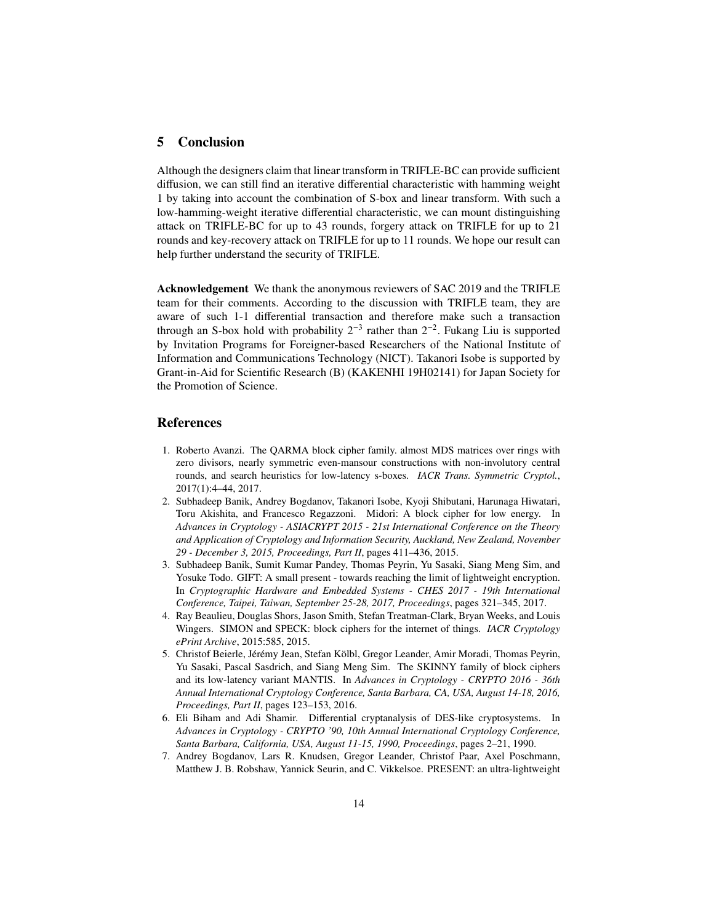# <span id="page-13-6"></span>5 Conclusion

Although the designers claim that linear transform in TRIFLE-BC can provide sufficient diffusion, we can still find an iterative differential characteristic with hamming weight 1 by taking into account the combination of S-box and linear transform. With such a low-hamming-weight iterative differential characteristic, we can mount distinguishing attack on TRIFLE-BC for up to 43 rounds, forgery attack on TRIFLE for up to 21 rounds and key-recovery attack on TRIFLE for up to 11 rounds. We hope our result can help further understand the security of TRIFLE.

Acknowledgement We thank the anonymous reviewers of SAC 2019 and the TRIFLE team for their comments. According to the discussion with TRIFLE team, they are aware of such 1-1 differential transaction and therefore make such a transaction through an S-box hold with probability  $2^{-3}$  rather than  $2^{-2}$ . Fukang Liu is supported by Invitation Programs for Foreigner-based Researchers of the National Institute of Information and Communications Technology (NICT). Takanori Isobe is supported by Grant-in-Aid for Scientific Research (B) (KAKENHI 19H02141) for Japan Society for the Promotion of Science.

## References

- <span id="page-13-4"></span>1. Roberto Avanzi. The QARMA block cipher family. almost MDS matrices over rings with zero divisors, nearly symmetric even-mansour constructions with non-involutory central rounds, and search heuristics for low-latency s-boxes. *IACR Trans. Symmetric Cryptol.*, 2017(1):4–44, 2017.
- <span id="page-13-2"></span>2. Subhadeep Banik, Andrey Bogdanov, Takanori Isobe, Kyoji Shibutani, Harunaga Hiwatari, Toru Akishita, and Francesco Regazzoni. Midori: A block cipher for low energy. In *Advances in Cryptology - ASIACRYPT 2015 - 21st International Conference on the Theory and Application of Cryptology and Information Security, Auckland, New Zealand, November 29 - December 3, 2015, Proceedings, Part II*, pages 411–436, 2015.
- <span id="page-13-7"></span>3. Subhadeep Banik, Sumit Kumar Pandey, Thomas Peyrin, Yu Sasaki, Siang Meng Sim, and Yosuke Todo. GIFT: A small present - towards reaching the limit of lightweight encryption. In *Cryptographic Hardware and Embedded Systems - CHES 2017 - 19th International Conference, Taipei, Taiwan, September 25-28, 2017, Proceedings*, pages 321–345, 2017.
- <span id="page-13-1"></span>4. Ray Beaulieu, Douglas Shors, Jason Smith, Stefan Treatman-Clark, Bryan Weeks, and Louis Wingers. SIMON and SPECK: block ciphers for the internet of things. *IACR Cryptology ePrint Archive*, 2015:585, 2015.
- <span id="page-13-3"></span>5. Christof Beierle, Jérémy Jean, Stefan Kölbl, Gregor Leander, Amir Moradi, Thomas Peyrin, Yu Sasaki, Pascal Sasdrich, and Siang Meng Sim. The SKINNY family of block ciphers and its low-latency variant MANTIS. In *Advances in Cryptology - CRYPTO 2016 - 36th Annual International Cryptology Conference, Santa Barbara, CA, USA, August 14-18, 2016, Proceedings, Part II*, pages 123–153, 2016.
- <span id="page-13-5"></span>6. Eli Biham and Adi Shamir. Differential cryptanalysis of DES-like cryptosystems. In *Advances in Cryptology - CRYPTO '90, 10th Annual International Cryptology Conference, Santa Barbara, California, USA, August 11-15, 1990, Proceedings*, pages 2–21, 1990.
- <span id="page-13-0"></span>7. Andrey Bogdanov, Lars R. Knudsen, Gregor Leander, Christof Paar, Axel Poschmann, Matthew J. B. Robshaw, Yannick Seurin, and C. Vikkelsoe. PRESENT: an ultra-lightweight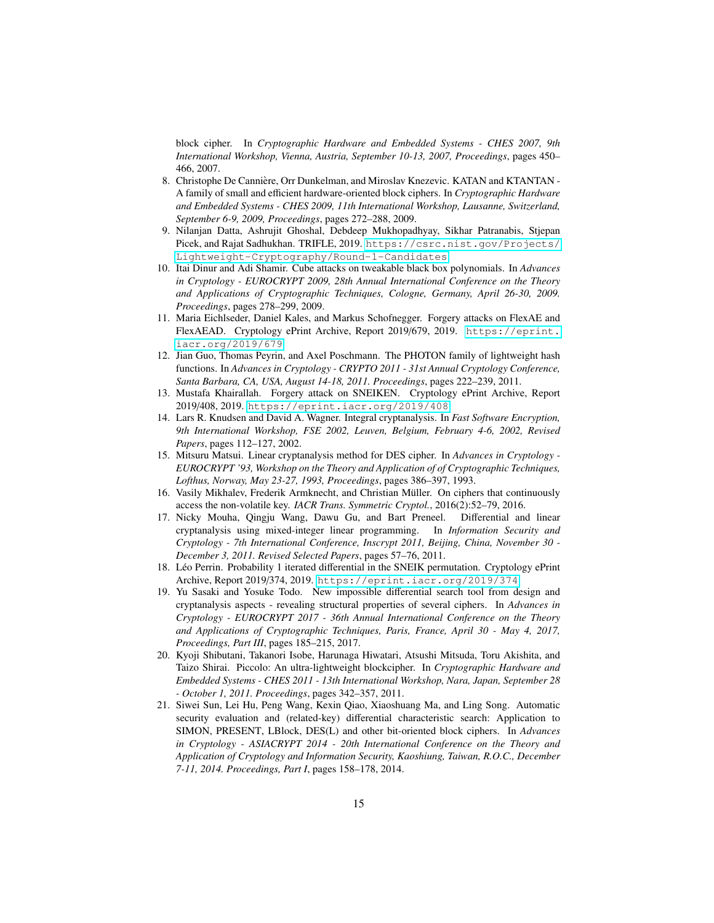block cipher. In *Cryptographic Hardware and Embedded Systems - CHES 2007, 9th International Workshop, Vienna, Austria, September 10-13, 2007, Proceedings*, pages 450– 466, 2007.

- <span id="page-14-0"></span>8. Christophe De Canniere, Orr Dunkelman, and Miroslav Knezevic. KATAN and KTANTAN - ` A family of small and efficient hardware-oriented block ciphers. In *Cryptographic Hardware and Embedded Systems - CHES 2009, 11th International Workshop, Lausanne, Switzerland, September 6-9, 2009, Proceedings*, pages 272–288, 2009.
- <span id="page-14-13"></span>9. Nilanjan Datta, Ashrujit Ghoshal, Debdeep Mukhopadhyay, Sikhar Patranabis, Stjepan Picek, and Rajat Sadhukhan. TRIFLE, 2019. [https://csrc.nist.gov/Projects/](https://csrc.nist.gov/Projects/Lightweight-Cryptography/Round-1-Candidates) [Lightweight-Cryptography/Round-1-Candidates](https://csrc.nist.gov/Projects/Lightweight-Cryptography/Round-1-Candidates).
- <span id="page-14-9"></span>10. Itai Dinur and Adi Shamir. Cube attacks on tweakable black box polynomials. In *Advances in Cryptology - EUROCRYPT 2009, 28th Annual International Conference on the Theory and Applications of Cryptographic Techniques, Cologne, Germany, April 26-30, 2009. Proceedings*, pages 278–299, 2009.
- <span id="page-14-6"></span>11. Maria Eichlseder, Daniel Kales, and Markus Schofnegger. Forgery attacks on FlexAE and FlexAEAD. Cryptology ePrint Archive, Report 2019/679, 2019. [https://eprint.](https://eprint.iacr.org/2019/679) [iacr.org/2019/679](https://eprint.iacr.org/2019/679).
- <span id="page-14-2"></span>12. Jian Guo, Thomas Peyrin, and Axel Poschmann. The PHOTON family of lightweight hash functions. In *Advances in Cryptology - CRYPTO 2011 - 31st Annual Cryptology Conference, Santa Barbara, CA, USA, August 14-18, 2011. Proceedings*, pages 222–239, 2011.
- <span id="page-14-5"></span>13. Mustafa Khairallah. Forgery attack on SNEIKEN. Cryptology ePrint Archive, Report 2019/408, 2019. <https://eprint.iacr.org/2019/408>.
- <span id="page-14-8"></span>14. Lars R. Knudsen and David A. Wagner. Integral cryptanalysis. In *Fast Software Encryption, 9th International Workshop, FSE 2002, Leuven, Belgium, February 4-6, 2002, Revised Papers*, pages 112–127, 2002.
- <span id="page-14-7"></span>15. Mitsuru Matsui. Linear cryptanalysis method for DES cipher. In *Advances in Cryptology - EUROCRYPT '93, Workshop on the Theory and Application of of Cryptographic Techniques, Lofthus, Norway, May 23-27, 1993, Proceedings*, pages 386–397, 1993.
- <span id="page-14-3"></span>16. Vasily Mikhalev, Frederik Armknecht, and Christian Müller. On ciphers that continuously access the non-volatile key. *IACR Trans. Symmetric Cryptol.*, 2016(2):52–79, 2016.
- <span id="page-14-10"></span>17. Nicky Mouha, Qingju Wang, Dawu Gu, and Bart Preneel. Differential and linear cryptanalysis using mixed-integer linear programming. In *Information Security and Cryptology - 7th International Conference, Inscrypt 2011, Beijing, China, November 30 - December 3, 2011. Revised Selected Papers*, pages 57–76, 2011.
- <span id="page-14-4"></span>18. Léo Perrin. Probability 1 iterated differential in the SNEIK permutation. Cryptology ePrint Archive, Report 2019/374, 2019. <https://eprint.iacr.org/2019/374>.
- <span id="page-14-11"></span>19. Yu Sasaki and Yosuke Todo. New impossible differential search tool from design and cryptanalysis aspects - revealing structural properties of several ciphers. In *Advances in Cryptology - EUROCRYPT 2017 - 36th Annual International Conference on the Theory and Applications of Cryptographic Techniques, Paris, France, April 30 - May 4, 2017, Proceedings, Part III*, pages 185–215, 2017.
- <span id="page-14-1"></span>20. Kyoji Shibutani, Takanori Isobe, Harunaga Hiwatari, Atsushi Mitsuda, Toru Akishita, and Taizo Shirai. Piccolo: An ultra-lightweight blockcipher. In *Cryptographic Hardware and Embedded Systems - CHES 2011 - 13th International Workshop, Nara, Japan, September 28 - October 1, 2011. Proceedings*, pages 342–357, 2011.
- <span id="page-14-12"></span>21. Siwei Sun, Lei Hu, Peng Wang, Kexin Qiao, Xiaoshuang Ma, and Ling Song. Automatic security evaluation and (related-key) differential characteristic search: Application to SIMON, PRESENT, LBlock, DES(L) and other bit-oriented block ciphers. In *Advances in Cryptology - ASIACRYPT 2014 - 20th International Conference on the Theory and Application of Cryptology and Information Security, Kaoshiung, Taiwan, R.O.C., December 7-11, 2014. Proceedings, Part I*, pages 158–178, 2014.